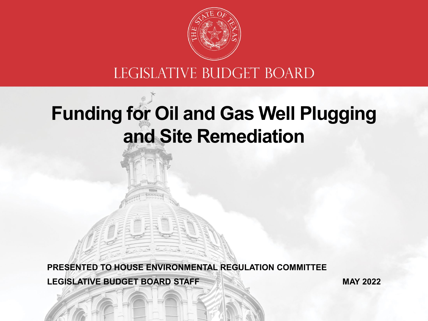

#### LEGISLATIVE BUDGET BOARD

# **Funding for Oil and Gas Well Plugging and Site Remediation**

**PRESENTED TO HOUSE ENVIRONMENTAL REGULATION COMMITTEE**

**LEGISLATIVE BUDGET BOARD STAFF**

**MAY 2022**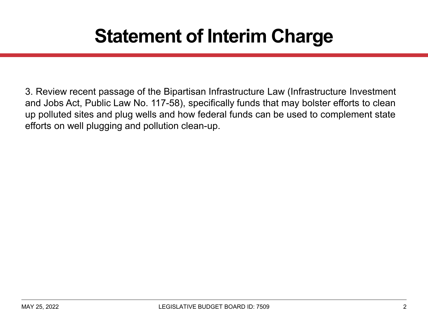### **Statement of Interim Charge**

3. Review recent passage of the Bipartisan Infrastructure Law (Infrastructure Investment and Jobs Act, Public Law No. 117-58), specifically funds that may bolster efforts to clean up polluted sites and plug wells and how federal funds can be used to complement state efforts on well plugging and pollution clean-up.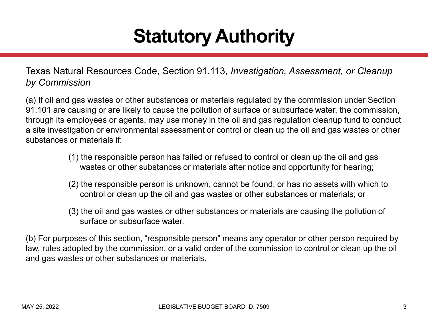### **Statutory Authority**

Texas Natural Resources Code, Section 91.113, *Investigation, Assessment, or Cleanup by Commission*

(a) If oil and gas wastes or other substances or materials regulated by the commission under Section 91.101 are causing or are likely to cause the pollution of surface or subsurface water, the commission, through its employees or agents, may use money in the oil and gas regulation cleanup fund to conduct a site investigation or environmental assessment or control or clean up the oil and gas wastes or other substances or materials if:

- (1) the responsible person has failed or refused to control or clean up the oil and gas wastes or other substances or materials after notice and opportunity for hearing;
- (2) the responsible person is unknown, cannot be found, or has no assets with which to control or clean up the oil and gas wastes or other substances or materials; or
- (3) the oil and gas wastes or other substances or materials are causing the pollution of surface or subsurface water.

(b) For purposes of this section, "responsible person" means any operator or other person required by law, rules adopted by the commission, or a valid order of the commission to control or clean up the oil and gas wastes or other substances or materials.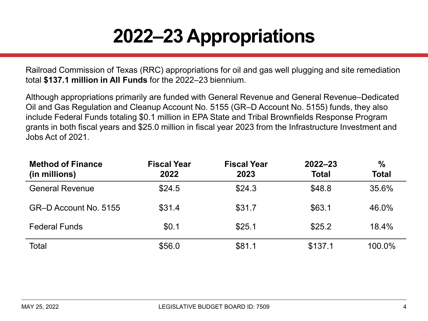# **2022–23 Appropriations**

Railroad Commission of Texas (RRC) appropriations for oil and gas well plugging and site remediation total **\$137.1 million in All Funds** for the 2022–23 biennium.

Although appropriations primarily are funded with General Revenue and General Revenue–Dedicated Oil and Gas Regulation and Cleanup Account No. 5155 (GR–D Account No. 5155) funds, they also include Federal Funds totaling \$0.1 million in EPA State and Tribal Brownfields Response Program grants in both fiscal years and \$25.0 million in fiscal year 2023 from the Infrastructure Investment and Jobs Act of 2021.

| <b>Method of Finance</b><br>(in millions) | <b>Fiscal Year</b><br>2022 | <b>Fiscal Year</b><br>2023 | $2022 - 23$<br><b>Total</b> | $\frac{0}{0}$<br><b>Total</b> |
|-------------------------------------------|----------------------------|----------------------------|-----------------------------|-------------------------------|
| <b>General Revenue</b>                    | \$24.5                     | \$24.3                     | \$48.8                      | 35.6%                         |
| GR-D Account No. 5155                     | \$31.4                     | \$31.7                     | \$63.1                      | 46.0%                         |
| <b>Federal Funds</b>                      | \$0.1                      | \$25.1                     | \$25.2                      | 18.4%                         |
| Total                                     | \$56.0                     | \$81.1                     | \$137.1                     | 100.0%                        |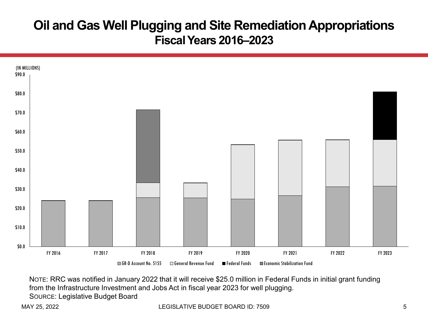#### **Oil and Gas Well Plugging and Site Remediation Appropriations Fiscal Years 2016–2023**



NOTE: RRC was notified in January 2022 that it will receive \$25.0 million in Federal Funds in initial grant funding from the Infrastructure Investment and Jobs Act in fiscal year 2023 for well plugging. SOURCE: Legislative Budget Board

MAY 25, 2022 LEGISLATIVE BUDGET BOARD ID: 7509 5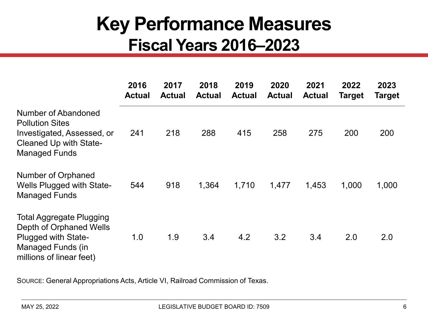#### **Key Performance Measures Fiscal Years 2016–2023**

|                                                                                                                                                  | 2016<br><b>Actual</b> | 2017<br><b>Actual</b> | 2018<br><b>Actual</b> | 2019<br><b>Actual</b> | 2020<br><b>Actual</b> | 2021<br><b>Actual</b> | 2022<br><b>Target</b> | 2023<br>Target |
|--------------------------------------------------------------------------------------------------------------------------------------------------|-----------------------|-----------------------|-----------------------|-----------------------|-----------------------|-----------------------|-----------------------|----------------|
| Number of Abandoned<br><b>Pollution Sites</b><br>Investigated, Assessed, or<br><b>Cleaned Up with State-</b><br><b>Managed Funds</b>             | 241                   | 218                   | 288                   | 415                   | 258                   | 275                   | 200                   | 200            |
| <b>Number of Orphaned</b><br><b>Wells Plugged with State-</b><br><b>Managed Funds</b>                                                            | 544                   | 918                   | 1,364                 | 1,710                 | 1,477                 | 1,453                 | 1,000                 | 1,000          |
| <b>Total Aggregate Plugging</b><br>Depth of Orphaned Wells<br><b>Plugged with State-</b><br><b>Managed Funds (in</b><br>millions of linear feet) | 1.0                   | 1.9                   | 3.4                   | 4.2                   | 3.2                   | 3.4                   | 2.0                   | 2.0            |

SOURCE: General Appropriations Acts, Article VI, Railroad Commission of Texas.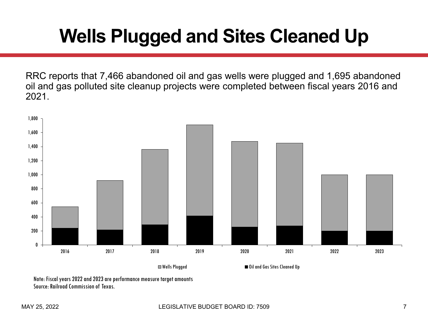## **Wells Plugged and Sites Cleaned Up**

RRC reports that 7,466 abandoned oil and gas wells were plugged and 1,695 abandoned oil and gas polluted site cleanup projects were completed between fiscal years 2016 and 2021.



Wells Plugged Oil and Gas Sites Cleaned Up

Note: Fiscal years 2022 and 2023 are performance measure target amounts Source: Railroad Commission of Texas.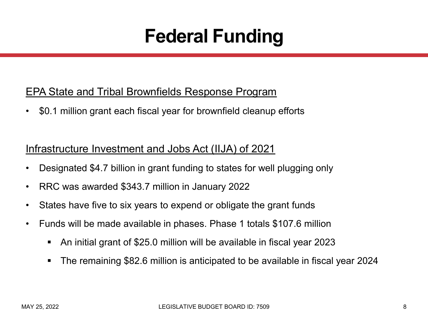### **Federal Funding**

#### EPA State and Tribal Brownfields Response Program

• \$0.1 million grant each fiscal year for brownfield cleanup efforts

#### Infrastructure Investment and Jobs Act (IIJA) of 2021

- Designated \$4.7 billion in grant funding to states for well plugging only
- RRC was awarded \$343.7 million in January 2022
- States have five to six years to expend or obligate the grant funds
- Funds will be made available in phases. Phase 1 totals \$107.6 million
	- An initial grant of \$25.0 million will be available in fiscal year 2023
	- The remaining \$82.6 million is anticipated to be available in fiscal year 2024